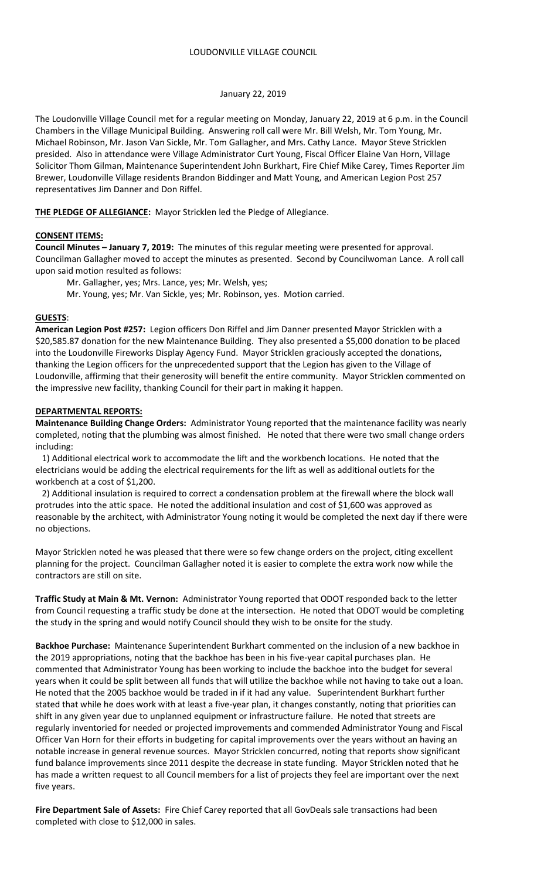## January 22, 2019

The Loudonville Village Council met for a regular meeting on Monday, January 22, 2019 at 6 p.m. in the Council Chambers in the Village Municipal Building. Answering roll call were Mr. Bill Welsh, Mr. Tom Young, Mr. Michael Robinson, Mr. Jason Van Sickle, Mr. Tom Gallagher, and Mrs. Cathy Lance. Mayor Steve Stricklen presided. Also in attendance were Village Administrator Curt Young, Fiscal Officer Elaine Van Horn, Village Solicitor Thom Gilman, Maintenance Superintendent John Burkhart, Fire Chief Mike Carey, Times Reporter Jim Brewer, Loudonville Village residents Brandon Biddinger and Matt Young, and American Legion Post 257 representatives Jim Danner and Don Riffel.

**THE PLEDGE OF ALLEGIANCE:** Mayor Stricklen led the Pledge of Allegiance.

### **CONSENT ITEMS:**

**Council Minutes – January 7, 2019:** The minutes of this regular meeting were presented for approval. Councilman Gallagher moved to accept the minutes as presented. Second by Councilwoman Lance. A roll call upon said motion resulted as follows:

Mr. Gallagher, yes; Mrs. Lance, yes; Mr. Welsh, yes;

Mr. Young, yes; Mr. Van Sickle, yes; Mr. Robinson, yes. Motion carried.

### **GUESTS**:

**American Legion Post #257:** Legion officers Don Riffel and Jim Danner presented Mayor Stricklen with a \$20,585.87 donation for the new Maintenance Building. They also presented a \$5,000 donation to be placed into the Loudonville Fireworks Display Agency Fund. Mayor Stricklen graciously accepted the donations, thanking the Legion officers for the unprecedented support that the Legion has given to the Village of Loudonville, affirming that their generosity will benefit the entire community. Mayor Stricklen commented on the impressive new facility, thanking Council for their part in making it happen.

### **DEPARTMENTAL REPORTS:**

**Maintenance Building Change Orders:** Administrator Young reported that the maintenance facility was nearly completed, noting that the plumbing was almost finished. He noted that there were two small change orders including:

 1) Additional electrical work to accommodate the lift and the workbench locations. He noted that the electricians would be adding the electrical requirements for the lift as well as additional outlets for the workbench at a cost of \$1,200.

 2) Additional insulation is required to correct a condensation problem at the firewall where the block wall protrudes into the attic space. He noted the additional insulation and cost of \$1,600 was approved as reasonable by the architect, with Administrator Young noting it would be completed the next day if there were no objections.

Mayor Stricklen noted he was pleased that there were so few change orders on the project, citing excellent planning for the project. Councilman Gallagher noted it is easier to complete the extra work now while the contractors are still on site.

**Traffic Study at Main & Mt. Vernon:** Administrator Young reported that ODOT responded back to the letter from Council requesting a traffic study be done at the intersection. He noted that ODOT would be completing the study in the spring and would notify Council should they wish to be onsite for the study.

**Backhoe Purchase:** Maintenance Superintendent Burkhart commented on the inclusion of a new backhoe in the 2019 appropriations, noting that the backhoe has been in his five-year capital purchases plan. He commented that Administrator Young has been working to include the backhoe into the budget for several years when it could be split between all funds that will utilize the backhoe while not having to take out a loan. He noted that the 2005 backhoe would be traded in if it had any value. Superintendent Burkhart further stated that while he does work with at least a five-year plan, it changes constantly, noting that priorities can shift in any given year due to unplanned equipment or infrastructure failure. He noted that streets are regularly inventoried for needed or projected improvements and commended Administrator Young and Fiscal Officer Van Horn for their efforts in budgeting for capital improvements over the years without an having an notable increase in general revenue sources. Mayor Stricklen concurred, noting that reports show significant fund balance improvements since 2011 despite the decrease in state funding. Mayor Stricklen noted that he has made a written request to all Council members for a list of projects they feel are important over the next five years.

**Fire Department Sale of Assets:** Fire Chief Carey reported that all GovDeals sale transactions had been completed with close to \$12,000 in sales.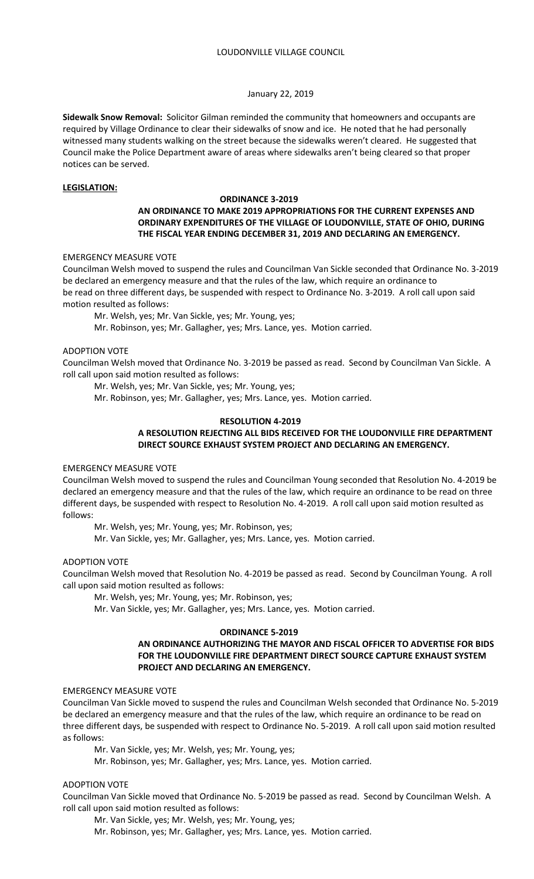## January 22, 2019

**Sidewalk Snow Removal:** Solicitor Gilman reminded the community that homeowners and occupants are required by Village Ordinance to clear their sidewalks of snow and ice. He noted that he had personally witnessed many students walking on the street because the sidewalks weren't cleared. He suggested that Council make the Police Department aware of areas where sidewalks aren't being cleared so that proper notices can be served.

## **LEGISLATION:**

# **ORDINANCE 3-2019**

# **AN ORDINANCE TO MAKE 2019 APPROPRIATIONS FOR THE CURRENT EXPENSES AND ORDINARY EXPENDITURES OF THE VILLAGE OF LOUDONVILLE, STATE OF OHIO, DURING THE FISCAL YEAR ENDING DECEMBER 31, 2019 AND DECLARING AN EMERGENCY.**

## EMERGENCY MEASURE VOTE

Councilman Welsh moved to suspend the rules and Councilman Van Sickle seconded that Ordinance No. 3-2019 be declared an emergency measure and that the rules of the law, which require an ordinance to be read on three different days, be suspended with respect to Ordinance No. 3-2019. A roll call upon said motion resulted as follows:

Mr. Welsh, yes; Mr. Van Sickle, yes; Mr. Young, yes;

Mr. Robinson, yes; Mr. Gallagher, yes; Mrs. Lance, yes. Motion carried.

## ADOPTION VOTE

Councilman Welsh moved that Ordinance No. 3-2019 be passed as read. Second by Councilman Van Sickle. A roll call upon said motion resulted as follows:

Mr. Welsh, yes; Mr. Van Sickle, yes; Mr. Young, yes;

Mr. Robinson, yes; Mr. Gallagher, yes; Mrs. Lance, yes. Motion carried.

### **RESOLUTION 4-2019**

# **A RESOLUTION REJECTING ALL BIDS RECEIVED FOR THE LOUDONVILLE FIRE DEPARTMENT DIRECT SOURCE EXHAUST SYSTEM PROJECT AND DECLARING AN EMERGENCY.**

#### EMERGENCY MEASURE VOTE

Councilman Welsh moved to suspend the rules and Councilman Young seconded that Resolution No. 4-2019 be declared an emergency measure and that the rules of the law, which require an ordinance to be read on three different days, be suspended with respect to Resolution No. 4-2019. A roll call upon said motion resulted as follows:

Mr. Welsh, yes; Mr. Young, yes; Mr. Robinson, yes;

Mr. Van Sickle, yes; Mr. Gallagher, yes; Mrs. Lance, yes. Motion carried.

## ADOPTION VOTE

Councilman Welsh moved that Resolution No. 4-2019 be passed as read. Second by Councilman Young. A roll call upon said motion resulted as follows:

Mr. Welsh, yes; Mr. Young, yes; Mr. Robinson, yes;

Mr. Van Sickle, yes; Mr. Gallagher, yes; Mrs. Lance, yes. Motion carried.

# **ORDINANCE 5-2019**

## **AN ORDINANCE AUTHORIZING THE MAYOR AND FISCAL OFFICER TO ADVERTISE FOR BIDS FOR THE LOUDONVILLE FIRE DEPARTMENT DIRECT SOURCE CAPTURE EXHAUST SYSTEM PROJECT AND DECLARING AN EMERGENCY.**

#### EMERGENCY MEASURE VOTE

Councilman Van Sickle moved to suspend the rules and Councilman Welsh seconded that Ordinance No. 5-2019 be declared an emergency measure and that the rules of the law, which require an ordinance to be read on three different days, be suspended with respect to Ordinance No. 5-2019. A roll call upon said motion resulted as follows:

Mr. Van Sickle, yes; Mr. Welsh, yes; Mr. Young, yes;

Mr. Robinson, yes; Mr. Gallagher, yes; Mrs. Lance, yes. Motion carried.

## ADOPTION VOTE

Councilman Van Sickle moved that Ordinance No. 5-2019 be passed as read. Second by Councilman Welsh. A roll call upon said motion resulted as follows:

Mr. Van Sickle, yes; Mr. Welsh, yes; Mr. Young, yes;

Mr. Robinson, yes; Mr. Gallagher, yes; Mrs. Lance, yes. Motion carried.